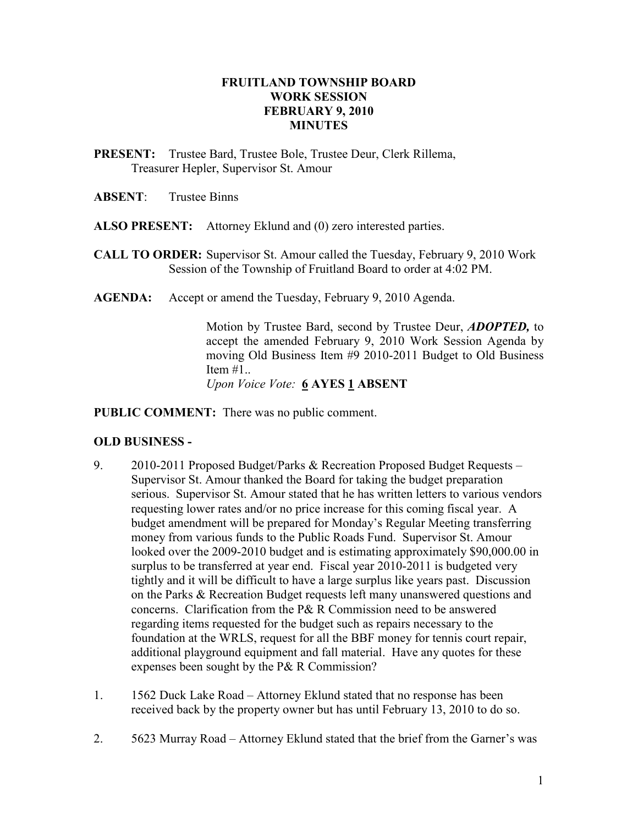## FRUITLAND TOWNSHIP BOARD WORK SESSION FEBRUARY 9, 2010 **MINUTES**

PRESENT: Trustee Bard, Trustee Bole, Trustee Deur, Clerk Rillema, Treasurer Hepler, Supervisor St. Amour

## ABSENT: Trustee Binns

- ALSO PRESENT: Attorney Eklund and (0) zero interested parties.
- CALL TO ORDER: Supervisor St. Amour called the Tuesday, February 9, 2010 Work Session of the Township of Fruitland Board to order at 4:02 PM.
- AGENDA: Accept or amend the Tuesday, February 9, 2010 Agenda.

Motion by Trustee Bard, second by Trustee Deur, ADOPTED, to accept the amended February 9, 2010 Work Session Agenda by moving Old Business Item #9 2010-2011 Budget to Old Business Item  $#1$ ... Upon Voice Vote: 6 AYES 1 ABSENT

PUBLIC COMMENT: There was no public comment.

## OLD BUSINESS -

- 9. 2010-2011 Proposed Budget/Parks & Recreation Proposed Budget Requests Supervisor St. Amour thanked the Board for taking the budget preparation serious. Supervisor St. Amour stated that he has written letters to various vendors requesting lower rates and/or no price increase for this coming fiscal year. A budget amendment will be prepared for Monday's Regular Meeting transferring money from various funds to the Public Roads Fund. Supervisor St. Amour looked over the 2009-2010 budget and is estimating approximately \$90,000.00 in surplus to be transferred at year end. Fiscal year 2010-2011 is budgeted very tightly and it will be difficult to have a large surplus like years past. Discussion on the Parks & Recreation Budget requests left many unanswered questions and concerns. Clarification from the P& R Commission need to be answered regarding items requested for the budget such as repairs necessary to the foundation at the WRLS, request for all the BBF money for tennis court repair, additional playground equipment and fall material. Have any quotes for these expenses been sought by the P& R Commission?
- 1. 1562 Duck Lake Road Attorney Eklund stated that no response has been received back by the property owner but has until February 13, 2010 to do so.
- 2. 5623 Murray Road Attorney Eklund stated that the brief from the Garner's was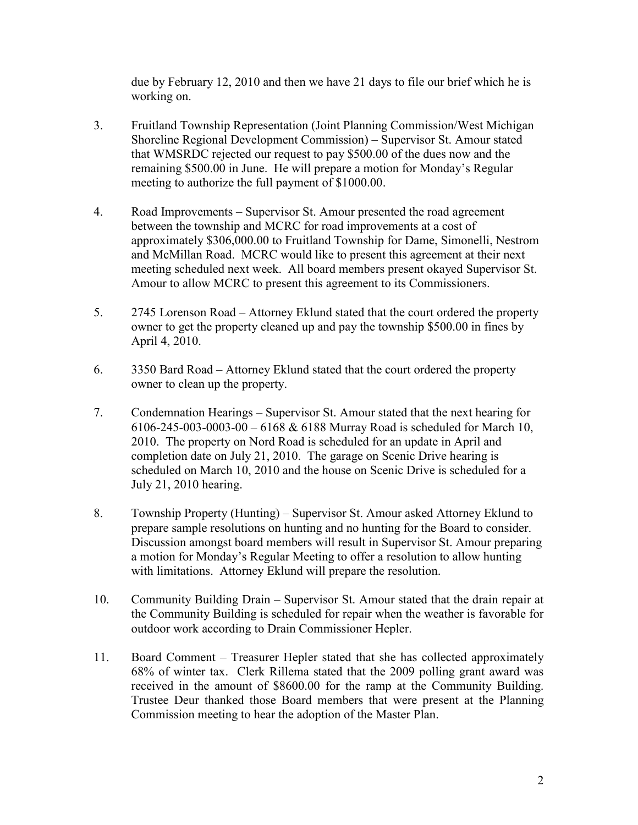due by February 12, 2010 and then we have 21 days to file our brief which he is working on.

- 3. Fruitland Township Representation (Joint Planning Commission/West Michigan Shoreline Regional Development Commission) – Supervisor St. Amour stated that WMSRDC rejected our request to pay \$500.00 of the dues now and the remaining \$500.00 in June. He will prepare a motion for Monday's Regular meeting to authorize the full payment of \$1000.00.
- 4. Road Improvements Supervisor St. Amour presented the road agreement between the township and MCRC for road improvements at a cost of approximately \$306,000.00 to Fruitland Township for Dame, Simonelli, Nestrom and McMillan Road. MCRC would like to present this agreement at their next meeting scheduled next week. All board members present okayed Supervisor St. Amour to allow MCRC to present this agreement to its Commissioners.
- 5. 2745 Lorenson Road Attorney Eklund stated that the court ordered the property owner to get the property cleaned up and pay the township \$500.00 in fines by April 4, 2010.
- 6. 3350 Bard Road Attorney Eklund stated that the court ordered the property owner to clean up the property.
- 7. Condemnation Hearings Supervisor St. Amour stated that the next hearing for 6106-245-003-0003-00 – 6168 & 6188 Murray Road is scheduled for March 10, 2010. The property on Nord Road is scheduled for an update in April and completion date on July 21, 2010. The garage on Scenic Drive hearing is scheduled on March 10, 2010 and the house on Scenic Drive is scheduled for a July 21, 2010 hearing.
- 8. Township Property (Hunting) Supervisor St. Amour asked Attorney Eklund to prepare sample resolutions on hunting and no hunting for the Board to consider. Discussion amongst board members will result in Supervisor St. Amour preparing a motion for Monday's Regular Meeting to offer a resolution to allow hunting with limitations. Attorney Eklund will prepare the resolution.
- 10. Community Building Drain Supervisor St. Amour stated that the drain repair at the Community Building is scheduled for repair when the weather is favorable for outdoor work according to Drain Commissioner Hepler.
- 11. Board Comment Treasurer Hepler stated that she has collected approximately 68% of winter tax. Clerk Rillema stated that the 2009 polling grant award was received in the amount of \$8600.00 for the ramp at the Community Building. Trustee Deur thanked those Board members that were present at the Planning Commission meeting to hear the adoption of the Master Plan.